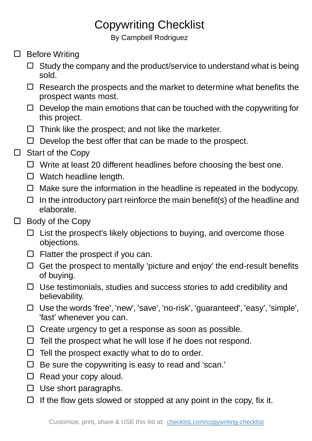## Copywriting Checklist

By Campbell Rodriguez

- □ Before Writing
	- $\Box$  Study the company and the product/service to understand what is being sold.
	- $\Box$  Research the prospects and the market to determine what benefits the prospect wants most.
	- $\Box$  Develop the main emotions that can be touched with the copywriting for this project.
	- $\Box$  Think like the prospect; and not like the marketer.
	- $\Box$  Develop the best offer that can be made to the prospect.

## Start of the Copy  $\Box$

- $\Box$  Write at least 20 different headlines before choosing the best one.
- □ Watch headline length.
- $\Box$  Make sure the information in the headline is repeated in the bodycopy.
- $\Box$  In the introductory part reinforce the main benefit(s) of the headline and elaborate.
- $\Box$  Body of the Copy
	- $\Box$  List the prospect's likely objections to buying, and overcome those objections.
	- $\Box$  Flatter the prospect if you can.
	- $\Box$  Get the prospect to mentally 'picture and enjoy' the end-result benefits of buying.
	- $\Box$  Use testimonials, studies and success stories to add credibility and believability.
	- Use the words 'free', 'new', 'save', 'no-risk', 'guaranteed', 'easy', 'simple', 'fast' whenever you can.
	- $\Box$  Create urgency to get a response as soon as possible.
	- $\Box$  Tell the prospect what he will lose if he does not respond.
	- $\Box$  Tell the prospect exactly what to do to order.
	- $\Box$  Be sure the copywriting is easy to read and 'scan.'
	- $\Box$  Read your copy aloud.
	- $\Box$  Use short paragraphs.
	- $\Box$  If the flow gets slowed or stopped at any point in the copy, fix it.